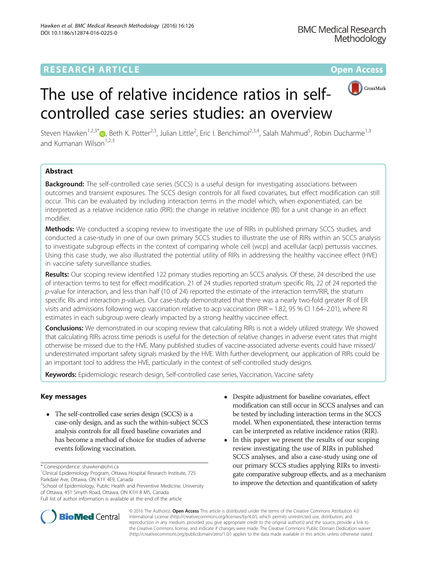## **RESEARCH ARTICLE Example 2014 12:30 The Community Community Community Community Community Community Community**



# The use of relative incidence ratios in selfcontrolled case series studies: an overview

Steven Hawken<sup>1,2,3\*</sup>®, Beth K. Potter<sup>2,3</sup>, Julian Little<sup>2</sup>, Eric I. Benchimol<sup>2,3,4</sup>, Salah Mahmud<sup>5</sup>, Robin Ducharme<sup>1,3</sup> and Kumanan Wilson $1,2,3$ 

## Abstract

**Background:** The self-controlled case series (SCCS) is a useful design for investigating associations between outcomes and transient exposures. The SCCS design controls for all fixed covariates, but effect modification can still occur. This can be evaluated by including interaction terms in the model which, when exponentiated, can be interpreted as a relative incidence ratio (RIR): the change in relative incidence (RI) for a unit change in an effect modifier.

Methods: We conducted a scoping review to investigate the use of RIRs in published primary SCCS studies, and conducted a case-study in one of our own primary SCCS studies to illustrate the use of RIRs within an SCCS analysis to investigate subgroup effects in the context of comparing whole cell (wcp) and acellular (acp) pertussis vaccines. Using this case study, we also illustrated the potential utility of RIRs in addressing the healthy vaccinee effect (HVE) in vaccine safety surveillance studies.

Results: Our scoping review identified 122 primary studies reporting an SCCS analysis. Of these, 24 described the use of interaction terms to test for effect modification. 21 of 24 studies reported stratum specific RIs, 22 of 24 reported the p-value for interaction, and less than half (10 of 24) reported the estimate of the interaction term/RIR, the stratum specific RIs and interaction p-values. Our case-study demonstrated that there was a nearly two-fold greater RI of ER visits and admissions following wcp vaccination relative to acp vaccination (RIR = 1.82, 95 % CI 1.64–2.01), where RI estimates in each subgroup were clearly impacted by a strong healthy vaccinee effect.

Conclusions: We demonstrated in our scoping review that calculating RIRs is not a widely utilized strategy. We showed that calculating RIRs across time periods is useful for the detection of relative changes in adverse event rates that might otherwise be missed due to the HVE. Many published studies of vaccine-associated adverse events could have missed/ underestimated important safety signals masked by the HVE. With further development, our application of RIRs could be an important tool to address the HVE, particularly in the context of self-controlled study designs.

Keywords: Epidemiologic research design, Self-controlled case series, Vaccination, Vaccine safety

## Key messages

 The self-controlled case series design (SCCS) is a case-only design, and as such the within-subject SCCS analysis controls for all fixed baseline covariates and has become a method of choice for studies of adverse events following vaccination.

<sup>2</sup>School of Epidemiology, Public Health and Preventive Medicine, University of Ottawa, 451 Smyth Road, Ottawa, ON K1H 8 M5, Canada

- Despite adjustment for baseline covariates, effect modification can still occur in SCCS analyses and can be tested by including interaction terms in the SCCS model. When exponentiated, these interaction terms can be interpreted as relative incidence ratios (RIR).
- In this paper we present the results of our scoping review investigating the use of RIRs in published SCCS analyses, and also a case-study using one of our primary SCCS studies applying RIRs to investigate comparative subgroup effects, and as a mechanism to improve the detection and quantification of safety



© 2016 The Author(s). Open Access This article is distributed under the terms of the Creative Commons Attribution 4.0 International License [\(http://creativecommons.org/licenses/by/4.0/](http://creativecommons.org/licenses/by/4.0/)), which permits unrestricted use, distribution, and reproduction in any medium, provided you give appropriate credit to the original author(s) and the source, provide a link to the Creative Commons license, and indicate if changes were made. The Creative Commons Public Domain Dedication waiver [\(http://creativecommons.org/publicdomain/zero/1.0/](http://creativecommons.org/publicdomain/zero/1.0/)) applies to the data made available in this article, unless otherwise stated.

<sup>\*</sup> Correspondence: [shawken@ohri.ca](mailto:shawken@ohri.ca) <sup>1</sup>

<sup>&</sup>lt;sup>1</sup>Clinical Epidemiology Program, Ottawa Hospital Research Institute, 725 Parkdale Ave, Ottawa, ON K1Y 4E9, Canada

Full list of author information is available at the end of the article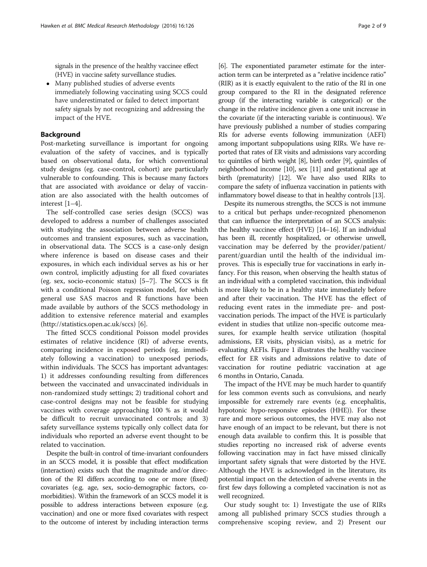signals in the presence of the healthy vaccinee effect (HVE) in vaccine safety surveillance studies.

 Many published studies of adverse events immediately following vaccinating using SCCS could have underestimated or failed to detect important safety signals by not recognizing and addressing the impact of the HVE.

#### Background

Post-marketing surveillance is important for ongoing evaluation of the safety of vaccines, and is typically based on observational data, for which conventional study designs (eg. case-control, cohort) are particularly vulnerable to confounding. This is because many factors that are associated with avoidance or delay of vaccination are also associated with the health outcomes of interest [\[1](#page-7-0)–[4](#page-7-0)].

The self-controlled case series design (SCCS) was developed to address a number of challenges associated with studying the association between adverse health outcomes and transient exposures, such as vaccination, in observational data. The SCCS is a case-only design where inference is based on disease cases and their exposures, in which each individual serves as his or her own control, implicitly adjusting for all fixed covariates (eg. sex, socio-economic status) [[5](#page-7-0)–[7\]](#page-7-0). The SCCS is fit with a conditional Poisson regression model, for which general use SAS macros and R functions have been made available by authors of the SCCS methodology in addition to extensive reference material and examples (<http://statistics.open.ac.uk/sccs>) [[6\]](#page-7-0).

The fitted SCCS conditional Poisson model provides estimates of relative incidence (RI) of adverse events, comparing incidence in exposed periods (eg. immediately following a vaccination) to unexposed periods, within individuals. The SCCS has important advantages: 1) it addresses confounding resulting from differences between the vaccinated and unvaccinated individuals in non-randomized study settings; 2) traditional cohort and case-control designs may not be feasible for studying vaccines with coverage approaching 100 % as it would be difficult to recruit unvaccinated controls; and 3) safety surveillance systems typically only collect data for individuals who reported an adverse event thought to be related to vaccination.

Despite the built-in control of time-invariant confounders in an SCCS model, it is possible that effect modification (interaction) exists such that the magnitude and/or direction of the RI differs according to one or more (fixed) covariates (e.g. age, sex, socio-demographic factors, comorbidities). Within the framework of an SCCS model it is possible to address interactions between exposure (e.g. vaccination) and one or more fixed covariates with respect to the outcome of interest by including interaction terms

[[6](#page-7-0)]. The exponentiated parameter estimate for the interaction term can be interpreted as a "relative incidence ratio" (RIR) as it is exactly equivalent to the ratio of the RI in one group compared to the RI in the designated reference group (if the interacting variable is categorical) or the change in the relative incidence given a one unit increase in the covariate (if the interacting variable is continuous). We have previously published a number of studies comparing RIs for adverse events following immunization (AEFI) among important subpopulations using RIRs. We have reported that rates of ER visits and admissions vary according to: quintiles of birth weight [\[8](#page-7-0)], birth order [[9](#page-7-0)], quintiles of neighborhood income [[10](#page-7-0)], sex [[11\]](#page-7-0) and gestational age at birth (prematurity) [\[12\]](#page-7-0). We have also used RIRs to compare the safety of influenza vaccination in patients with inflammatory bowel disease to that in healthy controls [[13](#page-7-0)].

Despite its numerous strengths, the SCCS is not immune to a critical but perhaps under-recognized phenomenon that can influence the interpretation of an SCCS analysis: the healthy vaccinee effect (HVE) [\[14](#page-7-0)–[16](#page-7-0)]. If an individual has been ill, recently hospitalized, or otherwise unwell, vaccination may be deferred by the provider/patient/ parent/guardian until the health of the individual improves. This is especially true for vaccinations in early infancy. For this reason, when observing the health status of an individual with a completed vaccination, this individual is more likely to be in a healthy state immediately before and after their vaccination. The HVE has the effect of reducing event rates in the immediate pre- and postvaccination periods. The impact of the HVE is particularly evident in studies that utilize non-specific outcome measures, for example health service utilization (hospital admissions, ER visits, physician visits), as a metric for evaluating AEFIs. Figure [1](#page-2-0) illustrates the healthy vaccinee effect for ER visits and admissions relative to date of vaccination for routine pediatric vaccination at age 6 months in Ontario, Canada.

The impact of the HVE may be much harder to quantify for less common events such as convulsions, and nearly impossible for extremely rare events (e.g. encephalitis, hypotonic hypo-responsive episodes (HHE)). For these rare and more serious outcomes, the HVE may also not have enough of an impact to be relevant, but there is not enough data available to confirm this. It is possible that studies reporting no increased risk of adverse events following vaccination may in fact have missed clinically important safety signals that were distorted by the HVE. Although the HVE is acknowledged in the literature, its potential impact on the detection of adverse events in the first few days following a completed vaccination is not as well recognized.

Our study sought to: 1) Investigate the use of RIRs among all published primary SCCS studies through a comprehensive scoping review, and 2) Present our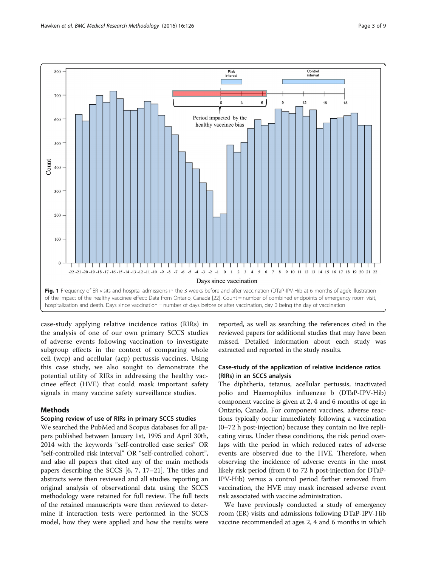<span id="page-2-0"></span>

case-study applying relative incidence ratios (RIRs) in the analysis of one of our own primary SCCS studies of adverse events following vaccination to investigate subgroup effects in the context of comparing whole cell (wcp) and acellular (acp) pertussis vaccines. Using this case study, we also sought to demonstrate the potential utility of RIRs in addressing the healthy vaccinee effect (HVE) that could mask important safety signals in many vaccine safety surveillance studies.

#### Methods

#### Scoping review of use of RIRs in primary SCCS studies

We searched the PubMed and Scopus databases for all papers published between January 1st, 1995 and April 30th, 2014 with the keywords "self-controlled case series" OR "self-controlled risk interval" OR "self-controlled cohort", and also all papers that cited any of the main methods papers describing the SCCS [[6](#page-7-0), [7](#page-7-0), [17](#page-7-0)–[21](#page-7-0)]. The titles and abstracts were then reviewed and all studies reporting an original analysis of observational data using the SCCS methodology were retained for full review. The full texts of the retained manuscripts were then reviewed to determine if interaction tests were performed in the SCCS model, how they were applied and how the results were reported, as well as searching the references cited in the reviewed papers for additional studies that may have been missed. Detailed information about each study was extracted and reported in the study results.

### Case-study of the application of relative incidence ratios (RIRs) in an SCCS analysis

The diphtheria, tetanus, acellular pertussis, inactivated polio and Haemophilus influenzae b (DTaP-IPV-Hib) component vaccine is given at 2, 4 and 6 months of age in Ontario, Canada. For component vaccines, adverse reactions typically occur immediately following a vaccination (0–72 h post-injection) because they contain no live replicating virus. Under these conditions, the risk period overlaps with the period in which reduced rates of adverse events are observed due to the HVE. Therefore, when observing the incidence of adverse events in the most likely risk period (from 0 to 72 h post-injection for DTaP-IPV-Hib) versus a control period farther removed from vaccination, the HVE may mask increased adverse event risk associated with vaccine administration.

We have previously conducted a study of emergency room (ER) visits and admissions following DTaP-IPV-Hib vaccine recommended at ages 2, 4 and 6 months in which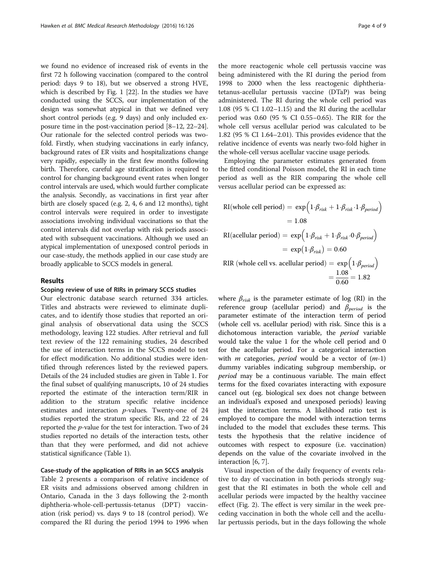we found no evidence of increased risk of events in the first 72 h following vaccination (compared to the control period: days 9 to 18), but we observed a strong HVE, which is described by Fig. [1](#page-2-0) [[22\]](#page-7-0). In the studies we have conducted using the SCCS, our implementation of the design was somewhat atypical in that we defined very short control periods (e.g. 9 days) and only included exposure time in the post-vaccination period [[8](#page-7-0)–[12](#page-7-0), [22](#page-7-0)–[24](#page-7-0)]. Our rationale for the selected control periods was twofold. Firstly, when studying vaccinations in early infancy, background rates of ER visits and hospitalizations change very rapidly, especially in the first few months following birth. Therefore, careful age stratification is required to control for changing background event rates when longer control intervals are used, which would further complicate the analysis. Secondly, as vaccinations in first year after birth are closely spaced (e.g. 2, 4, 6 and 12 months), tight control intervals were required in order to investigate associations involving individual vaccinations so that the control intervals did not overlap with risk periods associated with subsequent vaccinations. Although we used an atypical implementation of unexposed control periods in our case-study, the methods applied in our case study are broadly applicable to SCCS models in general.

#### Results

#### Scoping review of use of RIRs in primary SCCS studies

Our electronic database search returned 334 articles. Titles and abstracts were reviewed to eliminate duplicates, and to identify those studies that reported an original analysis of observational data using the SCCS methodology, leaving 122 studies. After retrieval and full text review of the 122 remaining studies, 24 described the use of interaction terms in the SCCS model to test for effect modification. No additional studies were identified through references listed by the reviewed papers. Details of the 24 included studies are given in Table [1.](#page-4-0) For the final subset of qualifying manuscripts, 10 of 24 studies reported the estimate of the interaction term/RIR in addition to the stratum specific relative incidence estimates and interaction  $p$ -values. Twenty-one of 24 studies reported the stratum specific RIs, and 22 of 24 reported the p-value for the test for interaction. Two of 24 studies reported no details of the interaction tests, other than that they were performed, and did not achieve statistical significance (Table [1\)](#page-4-0).

#### Case-study of the application of RIRs in an SCCS analysis

Table [2](#page-5-0) presents a comparison of relative incidence of ER visits and admissions observed among children in Ontario, Canada in the 3 days following the 2-month diphtheria-whole-cell-pertussis-tetanus (DPT) vaccination (risk period) vs. days 9 to 18 (control period). We compared the RI during the period 1994 to 1996 when

the more reactogenic whole cell pertussis vaccine was being administered with the RI during the period from 1998 to 2000 when the less reactogenic diphtheriatetanus-acellular pertussis vaccine (DTaP) was being administered. The RI during the whole cell period was 1.08 (95 % CI 1.02–1.15) and the RI during the acellular period was 0.60 (95 % CI 0.55–0.65). The RIR for the whole cell versus acellular period was calculated to be 1.82 (95 % CI 1.64–2.01). This provides evidence that the relative incidence of events was nearly two-fold higher in the whole-cell versus acellular vaccine usage periods.

Employing the parameter estimates generated from the fitted conditional Poisson model, the RI in each time period as well as the RIR comparing the whole cell versus acellular period can be expressed as:

 $\text{RI(whole cell period)} = \text{exp} \Big( 1 \cdot \beta_{risk} + 1 \cdot \beta_{risk} \cdot 1 \cdot \beta_{period} \Big)$  $= 1.08$ RI(acellular period) =  $\exp\left(1 \cdot \beta_{risk} + 1 \cdot \beta_{risk} \cdot 0 \cdot \beta_{period}\right)$  $=$  exp $(1·\beta_{risk}) = 0.60$ RIR (whole cell vs. acellular period) =  $\exp\left(1 \cdot \beta_{period}\right)$  $=\frac{1.08}{0.60}=1.82$ 

where  $\beta_{risk}$  is the parameter estimate of log (RI) in the reference group (acellular period) and  $\beta_{period}$  is the parameter estimate of the interaction term of period (whole cell vs. acellular period) with risk. Since this is a dichotomous interaction variable, the period variable would take the value 1 for the whole cell period and 0 for the acellular period. For a categorical interaction with *m* categories, *period* would be a vector of  $(m-1)$ dummy variables indicating subgroup membership, or period may be a continuous variable. The main effect terms for the fixed covariates interacting with exposure cancel out (eg. biological sex does not change between an individual's exposed and unexposed periods) leaving just the interaction terms. A likelihood ratio test is employed to compare the model with interaction terms included to the model that excludes these terms. This tests the hypothesis that the relative incidence of outcomes with respect to exposure (i.e. vaccination) depends on the value of the covariate involved in the interaction [\[6](#page-7-0), [7](#page-7-0)].

Visual inspection of the daily frequency of events relative to day of vaccination in both periods strongly suggest that the RI estimates in both the whole cell and acellular periods were impacted by the healthy vaccinee effect (Fig. [2](#page-5-0)). The effect is very similar in the week preceding vaccination in both the whole cell and the acellular pertussis periods, but in the days following the whole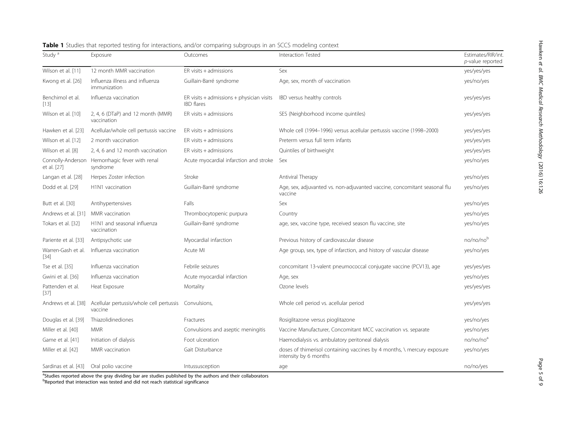| Study <sup>a</sup>                             | Exposure                                            | Outcomes                                                                                            | Interaction Tested                                                                               | Estimates/RIR/int<br>p-value reported |  |
|------------------------------------------------|-----------------------------------------------------|-----------------------------------------------------------------------------------------------------|--------------------------------------------------------------------------------------------------|---------------------------------------|--|
| 12 month MMR vaccination<br>Wilson et al. [11] |                                                     | ER visits + admissions                                                                              | Sex                                                                                              | yes/yes/yes                           |  |
| Kwong et al. [26]                              | Influenza illness and influenza<br>immunization     | Guillain-Barré syndrome                                                                             | Age, sex, month of vaccination                                                                   | yes/no/yes                            |  |
| Benchimol et al.<br>$[13]$                     | Influenza vaccination                               | $ER$ visits $+$ admissions $+$ physician visits<br>IBD versus healthy controls<br><b>IBD</b> flares |                                                                                                  | yes/yes/yes                           |  |
| Wilson et al. [10]                             | 2, 4, 6 (DTaP) and 12 month (MMR)<br>vaccination    | SES (Neighborhood income quintiles)<br>$ER \text{ visits} + \text{admissions}$                      |                                                                                                  | yes/yes/yes                           |  |
| Hawken et al. [23]                             | Acellular/whole cell pertussis vaccine              | $ER \text{ visits} + \text{admissions}$                                                             | Whole cell (1994-1996) versus acellular pertussis vaccine (1998-2000)                            | yes/yes/yes                           |  |
| Wilson et al. [12]                             | 2 month vaccination                                 | $ER \text{ visits} + \text{admissions}$                                                             | Preterm versus full term infants                                                                 | yes/yes/yes                           |  |
| Wilson et al. [8]                              | 2, 4, 6 and 12 month vaccination                    | $ER$ visits $+$ admissions                                                                          | Quintiles of birthweight                                                                         | yes/yes/yes                           |  |
| Connolly-Anderson<br>et al. [27]               | Hemorrhagic fever with renal<br>syndrome            | Acute myocardial infarction and stroke                                                              | Sex                                                                                              | yes/no/yes                            |  |
| Langan et al. [28]                             | Herpes Zoster infection                             | Stroke                                                                                              | Antiviral Therapy                                                                                | yes/no/yes                            |  |
| Dodd et al. [29]                               | H1N1 vaccination                                    | Guillain-Barré syndrome                                                                             | Age, sex, adjuvanted vs. non-adjuvanted vaccine, concomitant seasonal flu<br>vaccine             | yes/no/yes                            |  |
| Butt et al. [30]                               | Antihypertensives                                   | Falls                                                                                               | Sex                                                                                              | yes/no/yes                            |  |
| Andrews et al. [31]                            | MMR vaccination                                     | Thrombocytopenic purpura                                                                            | Country                                                                                          | yes/no/yes                            |  |
| Tokars et al. [32]                             | H1N1 and seasonal influenza<br>vaccination          | Guillain-Barré syndrome                                                                             | age, sex, vaccine type, received season flu vaccine, site                                        | yes/no/yes                            |  |
| Pariente et al. [33]                           | Antipsychotic use                                   | Myocardial infarction                                                                               | Previous history of cardiovascular disease                                                       | no/no/no <sup>b</sup>                 |  |
| Warren-Gash et al.<br>$[34]$                   | Influenza vaccination                               | Acute MI                                                                                            | Age group, sex, type of infarction, and history of vascular disease                              | yes/no/yes                            |  |
| Tse et al. [35]                                | Influenza vaccination                               | Febrile seizures                                                                                    | concomitant 13-valent pneumococcal conjugate vaccine (PCV13), age                                | yes/yes/yes                           |  |
| Gwini et al. [36]                              | Influenza vaccination                               | Acute myocardial infarction                                                                         | Age, sex                                                                                         | yes/no/yes                            |  |
| Pattenden et al.<br>[37]                       | Heat Exposure                                       | Mortality                                                                                           | Ozone levels                                                                                     | yes/yes/yes                           |  |
| Andrews et al. [38]                            | Acellular pertussis/whole cell pertussis<br>vaccine | Convulsions,                                                                                        | Whole cell period vs. acellular period                                                           | yes/yes/yes                           |  |
| Douglas et al. [39]                            | Thiazolidinediones                                  | Fractures                                                                                           | Rosiglitazone versus pioglitazone                                                                | yes/no/yes                            |  |
| Miller et al. [40]                             | <b>MMR</b>                                          | Convulsions and aseptic meningitis                                                                  | Vaccine Manufacturer, Concomitant MCC vaccination vs. separate                                   | yes/no/yes                            |  |
| Game et al. [41]                               | Initiation of dialysis                              | Foot ulceration                                                                                     | Haemodialysis vs. ambulatory peritoneal dialysis                                                 | no/no/no <sup>d</sup>                 |  |
| Miller et al. [42]                             | MMR vaccination                                     | Gait Disturbance                                                                                    | doses of thimerisol containing vaccines by 4 months, \ mercury exposure<br>intensity by 6 months | yes/no/yes                            |  |
| Sardinas et al. [43]                           | Oral polio vaccine                                  | Intussusception                                                                                     | age                                                                                              | no/no/yes                             |  |

## <span id="page-4-0"></span>Table 1 Studies that reported testing for interactions, and/or comparing subgroups in an SCCS modeling context

<sup>a</sup>Studies reported above the gray dividing bar are studies published by the authors and their collaborators <sup>b</sup>Reported that interaction was tested and did not reach statistical significance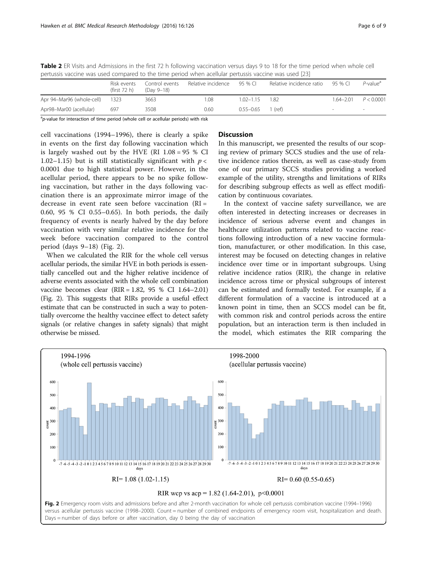<span id="page-5-0"></span>Table 2 ER Visits and Admissions in the first 72 h following vaccination versus days 9 to 18 for the time period when whole cell pertussis vaccine was used compared to the time period when acellular pertussis vaccine was used [\[23\]](#page-7-0)

|                           | Risk events<br>(first $72 h$ ) | Control events<br>(Dav 9-18) | Relative incidence | 95 % CL       | Relative incidence ratio | 95 % CL       | $P$ -value <sup>d</sup>  |
|---------------------------|--------------------------------|------------------------------|--------------------|---------------|--------------------------|---------------|--------------------------|
| Apr 94-Mar96 (whole-cell) | 1323                           | 3663                         | L.O.               | 1.02–1.15     | - 1.82                   | $1.64 - 2.01$ | P < 0.0001               |
| Apr98-Mar00 (acellular)   | 697                            | 3508                         | 0.60               | $0.55 - 0.65$ | 1 (ref)                  |               | $\overline{\phantom{a}}$ |

<sup>a</sup>p-value for interaction of time period (whole cell or acellular periods) with risk

cell vaccinations (1994–1996), there is clearly a spike in events on the first day following vaccination which is largely washed out by the HVE (RI  $1.08 = 95$  % CI 1.02–1.15) but is still statistically significant with  $p <$ 0.0001 due to high statistical power. However, in the acellular period, there appears to be no spike following vaccination, but rather in the days following vaccination there is an approximate mirror image of the decrease in event rate seen before vaccination (RI = 0.60, 95 % CI 0.55–0.65). In both periods, the daily frequency of events is nearly halved by the day before vaccination with very similar relative incidence for the week before vaccination compared to the control period (days 9–18) (Fig. 2).

When we calculated the RIR for the whole cell versus acellular periods, the similar HVE in both periods is essentially cancelled out and the higher relative incidence of adverse events associated with the whole cell combination vaccine becomes clear (RIR = 1.82, 95 % CI 1.64–2.01) (Fig. 2). This suggests that RIRs provide a useful effect estimate that can be constructed in such a way to potentially overcome the healthy vaccinee effect to detect safety signals (or relative changes in safety signals) that might otherwise be missed.

#### **Discussion**

In this manuscript, we presented the results of our scoping review of primary SCCS studies and the use of relative incidence ratios therein, as well as case-study from one of our primary SCCS studies providing a worked example of the utility, strengths and limitations of RIRs for describing subgroup effects as well as effect modification by continuous covariates.

In the context of vaccine safety surveillance, we are often interested in detecting increases or decreases in incidence of serious adverse event and changes in healthcare utilization patterns related to vaccine reactions following introduction of a new vaccine formulation, manufacturer, or other modification. In this case, interest may be focused on detecting changes in relative incidence over time or in important subgroups. Using relative incidence ratios (RIR), the change in relative incidence across time or physical subgroups of interest can be estimated and formally tested. For example, if a different formulation of a vaccine is introduced at a known point in time, then an SCCS model can be fit, with common risk and control periods across the entire population, but an interaction term is then included in the model, which estimates the RIR comparing the



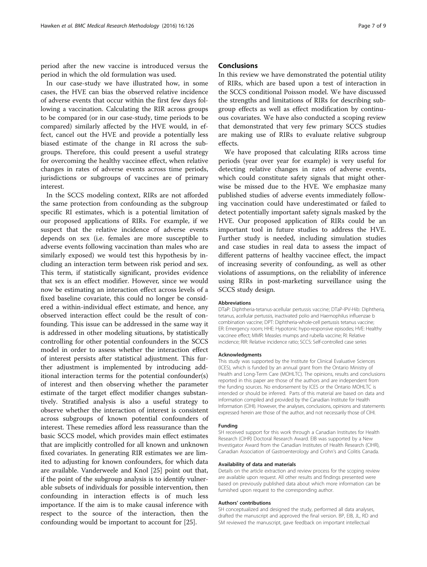period after the new vaccine is introduced versus the period in which the old formulation was used.

In our case-study we have illustrated how, in some cases, the HVE can bias the observed relative incidence of adverse events that occur within the first few days following a vaccination. Calculating the RIR across groups to be compared (or in our case-study, time periods to be compared) similarly affected by the HVE would, in effect, cancel out the HVE and provide a potentially less biased estimate of the change in RI across the subgroups. Therefore, this could present a useful strategy for overcoming the healthy vaccinee effect, when relative changes in rates of adverse events across time periods, jurisdictions or subgroups of vaccines are of primary interest.

In the SCCS modeling context, RIRs are not afforded the same protection from confounding as the subgroup specific RI estimates, which is a potential limitation of our proposed applications of RIRs. For example, if we suspect that the relative incidence of adverse events depends on sex (i.e. females are more susceptible to adverse events following vaccination than males who are similarly exposed) we would test this hypothesis by including an interaction term between risk period and sex. This term, if statistically significant, provides evidence that sex is an effect modifier. However, since we would now be estimating an interaction effect across levels of a fixed baseline covariate, this could no longer be considered a within-individual effect estimate, and hence, any observed interaction effect could be the result of confounding. This issue can be addressed in the same way it is addressed in other modeling situations, by statistically controlling for other potential confounders in the SCCS model in order to assess whether the interaction effect of interest persists after statistical adjustment. This further adjustment is implemented by introducing additional interaction terms for the potential confounder(s) of interest and then observing whether the parameter estimate of the target effect modifier changes substantively. Stratified analysis is also a useful strategy to observe whether the interaction of interest is consistent across subgroups of known potential confounders of interest. These remedies afford less reassurance than the basic SCCS model, which provides main effect estimates that are implicitly controlled for all known and unknown fixed covariates. In generating RIR estimates we are limited to adjusting for known confounders, for which data are available. Vanderweele and Knol [[25](#page-7-0)] point out that, if the point of the subgroup analysis is to identify vulnerable subsets of individuals for possible intervention, then confounding in interaction effects is of much less importance. If the aim is to make causal inference with respect to the source of the interaction, then the confounding would be important to account for [[25](#page-7-0)].

#### **Conclusions**

In this review we have demonstrated the potential utility of RIRs, which are based upon a test of interaction in the SCCS conditional Poisson model. We have discussed the strengths and limitations of RIRs for describing subgroup effects as well as effect modification by continuous covariates. We have also conducted a scoping review that demonstrated that very few primary SCCS studies are making use of RIRs to evaluate relative subgroup effects.

We have proposed that calculating RIRs across time periods (year over year for example) is very useful for detecting relative changes in rates of adverse events, which could constitute safety signals that might otherwise be missed due to the HVE. We emphasize many published studies of adverse events immediately following vaccination could have underestimated or failed to detect potentially important safety signals masked by the HVE. Our proposed application of RIRs could be an important tool in future studies to address the HVE. Further study is needed, including simulation studies and case studies in real data to assess the impact of different patterns of healthy vaccinee effect, the impact of increasing severity of confounding, as well as other violations of assumptions, on the reliability of inference using RIRs in post-marketing surveillance using the SCCS study design.

#### Abbreviations

DTaP: Diphtheria-tetanus-acellular pertussis vaccine; DTaP-IPV-Hib: Diphtheria, tetanus, acellular pertussis, inactivated polio and Haemophilus influenzae b combination vaccine; DPT: Diphtheria-whole-cell pertussis tetanus vaccine; ER: Emergency room; HHE: Hypotonic hypo-responsive episodes; HVE: Healthy vaccinee effect; MMR: Measles mumps and rubella vaccine; RI: Relative incidence; RIR: Relative incidence ratio; SCCS: Self-controlled case series

#### Acknowledgments

This study was supported by the Institute for Clinical Evaluative Sciences (ICES), which is funded by an annual grant from the Ontario Ministry of Health and Long-Term Care (MOHLTC). The opinions, results and conclusions reported in this paper are those of the authors and are independent from the funding sources. No endorsement by ICES or the Ontario MOHLTC is intended or should be inferred. Parts of this material are based on data and information compiled and provided by the Canadian Institute for Health Information (CIHI). However, the analyses, conclusions, opinions and statements expressed herein are those of the author, and not necessarily those of CIHI.

#### Funding

SH received support for this work through a Canadian Institutes for Health Research (CIHR) Doctoral Research Award. EIB was supported by a New Investigator Award from the Canadian Institutes of Health Research (CIHR), Canadian Association of Gastroenterology and Crohn's and Colitis Canada.

#### Availability of data and materials

Details on the article extraction and review process for the scoping review are available upon request. All other results and findings presented were based on previously published data about which more information can be furnished upon request to the corresponding author.

#### Authors' contributions

SH conceptualized and designed the study, performed all data analyses, drafted the manuscript and approved the final version. BP, EIB, JL, RD and SM reviewed the manuscript, gave feedback on important intellectual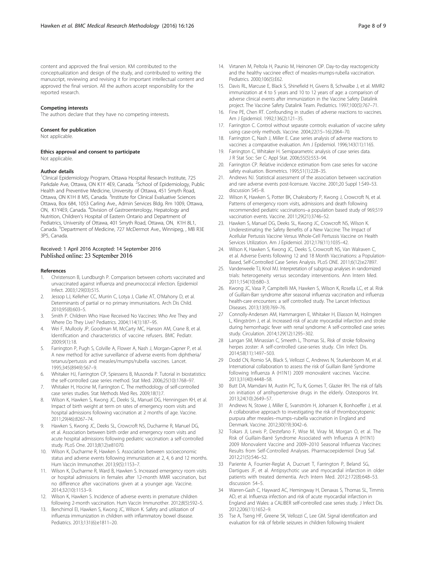<span id="page-7-0"></span>content and approved the final version. KM contributed to the conceptualization and design of the study, and contributed to writing the manuscript, reviewing and revising it for important intellectual content and approved the final version. All the authors accept responsibility for the reported research.

#### Competing interests

The authors declare that they have no competing interests.

#### Consent for publication

Not applicable.

## Ethics approval and consent to participate

Not applicable.

#### Author details

<sup>1</sup>Clinical Epidemiology Program, Ottawa Hospital Research Institute, 725 Parkdale Ave, Ottawa, ON K1Y 4E9, Canada. <sup>2</sup>School of Epidemiology, Public Health and Preventive Medicine, University of Ottawa, 451 Smyth Road, Ottawa, ON K1H 8 M5, Canada. <sup>3</sup>Institute for Clinical Evaluative Sciences Ottawa, Box 684, 1053 Carling Ave., Admin Services Bldg. Rm 1009, Ottawa, ON, K1Y4E9, Canada. <sup>4</sup>Division of Gastroenterology, Hepatology and Nutrition, Children's Hospital of Eastern Ontario and Department of Pediatrics, University of Ottawa, 401 Smyth Road, Ottawa, ON, K1H 8L1, Canada. <sup>5</sup>Department of Medicine, 727 McDermot Ave., Winnipeg, , MB R3E 3P5, Canada.

#### Received: 1 April 2016 Accepted: 14 September 2016 Published online: 23 September 2016

#### References

- 1. Christenson B, Lundburgh P. Comparison between cohorts vaccinated and unvaccinated against influenza and pneumococcal infection. Epidemiol Infect. 2003;129(03):515.
- 2. Jessop LJ, Kelleher CC, Murrin C, Lotya J, Clarke AT, O'Mahony D, et al. Determinants of partial or no primary immunisations. Arch Dis Child. 2010;95(8):603–5.
- 3. Smith P. Children Who Have Received No Vaccines: Who Are They and Where Do They Live? Pediatrics. 2004;114(1):187–95.
- Wei F, Mullooly JP, Goodman M, McCarty MC, Hanson AM, Crane B, et al. Identification and characteristics of vaccine refusers. BMC Pediatr. 2009;9(1):18.
- 5. Farrington P, Pugh S, Colville A, Flower A, Nash J, Morgan-Capner P, et al. A new method for active surveillance of adverse events from diphtheria/ tetanus/pertussis and measles/mumps/rubella vaccines. Lancet. 1995;345(8949):567–9.
- 6. Whitaker HJ, Farrington CP, Spiessens B, Musonda P. Tutorial in biostatistics: the self-controlled case series method. Stat Med. 2006;25(10):1768–97.
- 7. Whitaker H, Hocine M, Farrington C. The methodology of self-controlled case series studies. Stat Methods Med Res. 2009;18(1):7.
- 8. Wilson K, Hawken S, Kwong JC, Deeks SL, Manuel DG, Henningsen KH, et al. Impact of birth weight at term on rates of emergency room visits and hospital admissions following vaccination at 2 months of age. Vaccine. 2011;29(46):8267–74.
- 9. Hawken S, Kwong JC, Deeks SL, Crowcroft NS, Ducharme R, Manuel DG, et al. Association between birth order and emergency room visits and acute hospital admissions following pediatric vaccination: a self-controlled study. PLoS One. 2013;8(12):e81070.
- 10. Wilson K, Ducharme R, Hawken S. Association between socioeconomic status and adverse events following immunization at 2, 4, 6 and 12 months. Hum Vaccin Immunother. 2013;9(5):1153–7.
- 11. Wilson K, Ducharme R, Ward B, Hawken S. Increased emergency room visits or hospital admissions in females after 12-month MMR vaccination, but no difference after vaccinations given at a younger age. Vaccine. 2014;32(10):1153–9.
- 12. Wilson K, Hawken S. Incidence of adverse events in premature children following 2-month vaccination. Hum Vaccin Immunother. 2012;8(5):592–5.
- 13. Benchimol EI, Hawken S, Kwong JC, Wilson K. Safety and utilization of influenza immunization in children with inflammatory bowel disease. Pediatrics. 2013;131(6):e1811–20.
- 14. Virtanen M, Peltola H, Paunio M, Heinonen OP. Day-to-day reactogenicity and the healthy vaccinee effect of measles-mumps-rubella vaccination. Pediatrics. 2000;106(5):E62.
- 15. Davis RL, Marcuse E, Black S, Shinefield H, Givens B, Schwalbe J, et al. MMR2 immunization at 4 to 5 years and 10 to 12 years of age: a comparison of adverse clinical events after immunization in the Vaccine Safety Datalink project. The Vaccine Safety Datalink Team. Pediatrics. 1997;100(5):767–71.
- 16. Fine PE, Chen RT. Confounding in studies of adverse reactions to vaccines. Am J Epidemiol. 1992;136(2):121–35.
- 17. Farrington C. Control without separate controls: evaluation of vaccine safety using case-only methods. Vaccine. 2004;22(15–16):2064–70.
- 18. Farrington C, Nash J, Miller E. Case series analysis of adverse reactions to vaccines: a comparative evaluation. Am J Epidemiol. 1996;143(11):1165.
- 19. Farrington C, Whitaker H. Semiparametric analysis of case series data. J R Stat Soc: Ser C: Appl Stat. 2006;55(5):553–94.
- 20. Farrington CP. Relative incidence estimation from case series for vaccine safety evaluation. Biometrics. 1995;51(1):228–35.
- 21. Andrews NJ. Statistical assessment of the association between vaccination and rare adverse events post-licensure. Vaccine. 2001;20 Suppl 1:S49–53. discussion S45–8.
- 22. Wilson K, Hawken S, Potter BK, Chakraborty P, Kwong J, Crowcroft N, et al. Patterns of emergency room visits, admissions and death following recommended pediatric vaccinations–a population based study of 969,519 vaccination events. Vaccine. 2011;29(21):3746–52.
- 23. Hawken S, Manuel DG, Deeks SL, Kwong JC, Crowcroft NS, Wilson K. Underestimating the Safety Benefits of a New Vaccine: The Impact of Acellular Pertussis Vaccine Versus Whole-Cell Pertussis Vaccine on Health Services Utilization. Am J Epidemiol. 2012;176(11):1035–42.
- 24. Wilson K, Hawken S, Kwong JC, Deeks S, Crowcroft NS, Van Walraven C, et al. Adverse Events following 12 and 18 Month Vaccinations: a Population-Based, Self-Controlled Case Series Analysis. PLoS ONE. 2011;6(12):e27897.
- 25. Vanderweele TJ, Knol MJ. Interpretation of subgroup analyses in randomized trials: heterogeneity versus secondary interventions. Ann Intern Med. 2011;154(10):680–3.
- 26. Kwong JC, Vasa P, Campitelli MA, Hawken S, Wilson K, Rosella LC, et al. Risk of Guillain-Barr syndrome after seasonal influenza vaccination and influenza health-care encounters: a self controlled study. The Lancet Infectious Diseases. 2013;13(9):769–76.
- 27 Connolly-Andersen AM, Hammargren E, Whitaker H, Eliasson M, Holmgren L, Klingström J, et al. Increased risk of acute myocardial infarction and stroke during hemorrhagic fever with renal syndrome: A self-controlled case series study. Circulation. 2014;129(12):1295–302.
- 28 Langan SM, Minassian C, Smeeth L, Thomas SL. Risk of stroke following herpes zoster: A self-controlled case-series study. Clin Infect Dis. 2014;58(11):1497–503.
- 29 Dodd CN, Romio SA, Black S, Vellozzi C, Andrews N, Sturkenboom M, et al. International collaboration to assess the risk of Guillain Barré Syndrome following Influenza A (H1N1) 2009 monovalent vaccines. Vaccine. 2013;31(40):4448–58.
- 30 Butt DA, Mamdani M, Austin PC, Tu K, Gomes T, Glazier RH. The risk of falls on initiation of antihypertensive drugs in the elderly. Osteoporos Int. 2013;24(10):2649–57.
- 31 Andrews N, Stowe J, Miller E, Svanström H, Johansen K, Bonhoeffer J, et al. A collaborative approach to investigating the risk of thrombocytopenic purpura after measles–mumps–rubella vaccination in England and Denmark. Vaccine. 2012;30(19):3042–6.
- 32 Tokars JI, Lewis P, Destefano F, Wise M, Viray M, Morgan O, et al. The Risk of Guillain-Barré Syndrome Associated with Influenza A (H1N1) 2009 Monovalent Vaccine and 2009–2010 Seasonal Influenza Vaccines: Results from Self-Controlled Analyses. Pharmacoepidemiol Drug Saf. 2012;21(5):546–52.
- 33 Pariente A, Fourrier-Reglat A, Ducruet T, Farrington P, Beland SG, Dartigues JF, et al. Antipsychotic use and myocardial infarction in older patients with treated dementia. Arch Intern Med. 2012;172(8):648–53. discussion 54–5.
- 34 Warren-Gash C, Hayward AC, Hemingway H, Denaxas S, Thomas SL, Timmis AD, et al. Influenza infection and risk of acute myocardial infarction in England and Wales: a CALIBER self-controlled case series study. J Infect Dis. 2012;206(11):1652–9.
- 35 Tse A, Tseng HF, Greene SK, Vellozzi C, Lee GM. Signal identification and evaluation for risk of febrile seizures in children following trivalent